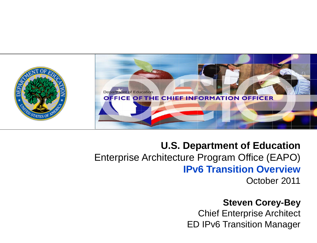

### **U.S. Department of Education** Enterprise Architecture Program Office (EAPO) **IPv6 Transition Overview** October 2011

#### **Steven Corey-Bey**

Chief Enterprise Architect ED IPv6 Transition Manager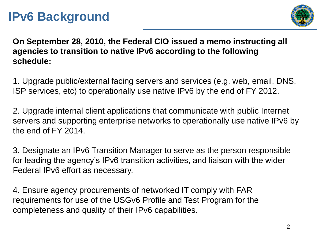## **IPv6 Background**



**On September 28, 2010, the Federal CIO issued a memo instructing all agencies to transition to native IPv6 according to the following schedule:**

1. Upgrade public/external facing servers and services (e.g. web, email, DNS, ISP services, etc) to operationally use native IPv6 by the end of FY 2012.

2. Upgrade internal client applications that communicate with public Internet servers and supporting enterprise networks to operationally use native IPv6 by the end of FY 2014.

3. Designate an IPv6 Transition Manager to serve as the person responsible for leading the agency's IPv6 transition activities, and liaison with the wider Federal IPv6 effort as necessary.

4. Ensure agency procurements of networked IT comply with FAR requirements for use of the USGv6 Profile and Test Program for the completeness and quality of their IPv6 capabilities.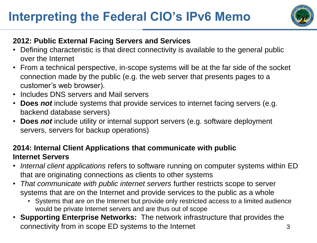# **Interpreting the Federal CIO's IPv6 Memo**



#### **2012: Public External Facing Servers and Services**

- Defining characteristic is that direct connectivity is available to the general public over the Internet
- From a technical perspective, in-scope systems will be at the far side of the socket connection made by the public (e.g. the web server that presents pages to a customer's web browser).
- Includes DNS servers and Mail servers
- **Does** *not* include systems that provide services to internet facing servers (e.g. backend database servers)
- **Does** *not* include utility or internal support servers (e.g. software deployment servers, servers for backup operations)

#### **2014: Internal Client Applications that communicate with public Internet Servers**

- *Internal client applications* refers to software running on computer systems within ED that are originating connections as clients to other systems
- *That communicate with public internet servers* further restricts scope to server systems that are on the Internet and provide services to the public as a whole
	- Systems that are on the Internet but provide only restricted access to a limited audience would be private Internet servers and are thus out of scope
- **Supporting Enterprise Networks:** The network infrastructure that provides the connectivity from in scope ED systems to the Internet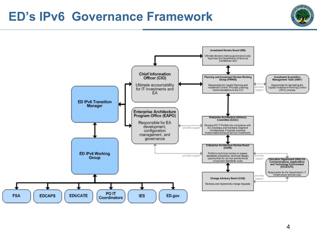### **ED's IPv6 Governance Framework**



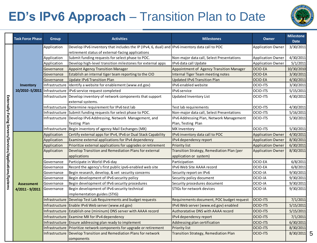# **ED's IPv6 Approach** – Transition Plan to Date



5

|                                                         | <b>Task Force Phase</b>                      | <b>Group</b>   | <b>Activities</b>                                                                                                                                    | <b>Milestones</b>                                                    | <b>Owner</b>             | <b>Milestone</b><br><b>Date</b> |
|---------------------------------------------------------|----------------------------------------------|----------------|------------------------------------------------------------------------------------------------------------------------------------------------------|----------------------------------------------------------------------|--------------------------|---------------------------------|
|                                                         | Inventory<br>10/2010 - 5/2011 Infrastructure | Application    | Develop IPv6 inventory that includes the IP (IPv4, 6, dual) and IPv6 inventory data call to POC<br>retirement status of external-facing applications |                                                                      | <b>Application Owner</b> | 3/30/2011                       |
|                                                         |                                              | Application    | Submit funding requests for select phase to POC.                                                                                                     | Non-major data call, Select Presentations                            | <b>Application Owner</b> | 4/30/2011                       |
|                                                         |                                              | Application    | Develop high-level transition milestones for external apps                                                                                           | IPv6 data call Update                                                | <b>Application Owner</b> | 5/1/2011                        |
|                                                         |                                              | Governance     | <b>Appoint Agency Transition Manager</b>                                                                                                             | Appointment of Agency Transition Manager                             | OCIO-EA                  | 10/30/2010                      |
|                                                         |                                              | Governance     | Establish an internal tiger team reporting to the CIO                                                                                                | <b>Internal Tiger Team meeting notes</b>                             | <b>OCIO-EA</b>           | 3/30/2011                       |
|                                                         |                                              | Governance     | Update IPv6 Transition Plan                                                                                                                          | <b>Updated IPv6 Transition Plan</b>                                  | OCIO-EA                  | 4/30/2011                       |
|                                                         |                                              | Infrastructure | Identify a website for enablement (www.ed.gov)                                                                                                       | IPv6 enabled website                                                 | OCIO-ITS                 | 3/30/2011                       |
|                                                         |                                              |                | IPv6 service request completed                                                                                                                       | IPv6 service                                                         | OCIO-ITS                 | 5/15/2011                       |
|                                                         |                                              | Infrastructure | Develop inventory of network components that support<br>external systems.                                                                            | <b>Updated Inventory List</b>                                        | OCIO-ITS                 | 4/30/2011                       |
|                                                         |                                              |                | Infrastructure   Determine requirement for IPv6 test lab                                                                                             | Test lab requirements                                                | OCIO-ITS                 | 4/30/2011                       |
|                                                         |                                              |                | Infrastructure Submit funding requests for select phase to POC.                                                                                      | Non-major data call, Select Presentations                            | <b>OCIO-ITS</b>          | 5/16/2011                       |
|                                                         |                                              |                | Infrastructure   Develop IPv6 Addressing, Network Management, and                                                                                    | IPv6 Addressing Plan, Network Management                             | <b>OCIO-ITS</b>          | 5/30/2011                       |
|                                                         |                                              |                | <b>Testing Plan</b>                                                                                                                                  | Plan, Testing Plan                                                   |                          |                                 |
|                                                         |                                              |                | Infrastructure   Begin inventory of agency Mail Exchanges (MX)                                                                                       | <b>MX Inventory</b>                                                  | OCIO-ITS                 | 5/30/2011                       |
|                                                         | <b>Assessment</b>                            | Application    | Certify external apps for IPv4, IPv6 or Dual Stack Capability                                                                                        | IPv6 inventory data call to POC                                      | <b>Application Owner</b> | 4/30/2011                       |
|                                                         |                                              | Application    | Examine external applications for IPv4 dependency                                                                                                    | IPv4 dependency report                                               | <b>Application Owner</b> | 8/30/2011                       |
|                                                         |                                              | Application    | Prioritize external applications for upgrades or retirement                                                                                          | Priority list                                                        | <b>Application Owner</b> | 6/30/2011                       |
| Externally-Facing Servers/Services/Applications/Systems |                                              | Application    | Develop Transition and Remediation Plans for external<br>applications                                                                                | Transition Strategy, Remediation Plan (per<br>application or system) | <b>Application Owner</b> | 8/30/2011                       |
|                                                         |                                              | Governance     | Participate in World IPv6-day                                                                                                                        | Participation                                                        | OCIO-EA                  | 6/8/2011                        |
|                                                         |                                              | Governance     | Record the agency's first public ipv6-enabled web site                                                                                               | IPv6 Web Site AAAA record                                            | OCIO-EA                  | 6/8/2011                        |
|                                                         |                                              | Governance     | Begin research, develop, & vet security concerns                                                                                                     | Security report on IPv6                                              | OCIO-IA                  | 9/30/2011                       |
|                                                         |                                              | Governance     | Begin development of IPv6 security policy                                                                                                            | Security policy document                                             | OCIO-IA                  | 9/30/2011                       |
|                                                         |                                              | Governance     | Begin development of IPv6 security procedures                                                                                                        | Security procedures document                                         | OCIO-IA                  | 9/30/2011                       |
|                                                         | 4/2011 - 9/2011                              | Governance     | Begin development of IPv6 security technical                                                                                                         | STIGs for network devices                                            | OCIO-IA                  | 9/30/2011                       |
|                                                         |                                              |                | implementation guides (STIG)                                                                                                                         |                                                                      |                          |                                 |
|                                                         |                                              |                | Infrastructure Develop Test Lab Requirements and budget requests                                                                                     | Requirements document, POC budget request                            | <b>OCIO-ITS</b>          | 7/1/2011                        |
|                                                         |                                              |                | Infrastructure Enable IPv6 Web server (www.ed.gov)                                                                                                   | IPv6 Web server (www.ed.gov) enabled                                 | <b>OCIO-ITS</b>          | 5/15/2011                       |
|                                                         |                                              |                | Infrastructure Establish one (mininum) DNS server with AAAA record                                                                                   | <b>Authoratative DNS with AAAA record</b>                            | <b>OCIO-ITS</b>          | 5/15/2011                       |
|                                                         |                                              |                | Infrastructure Examine MX for IPv4 dependency                                                                                                        | IPv4 dependency report                                               | OCIO-ITS                 | 7/1/2011                        |
|                                                         |                                              |                | Infrastructure Ensure addressing plan ready to implement                                                                                             | Addressing plan certification                                        | <b>OCIO-ITS</b>          | 6/30/2011                       |
|                                                         |                                              |                | Infrastructure Prioritize network components for upgrade or retirement                                                                               | <b>Priority list</b>                                                 | <b>OCIO-ITS</b>          | 8/30/2011                       |
|                                                         |                                              |                | Infrastructure   Develop Transition and Remediation Plans for network<br>components                                                                  | Transition Strategy, Remediation Plan                                | OCIO-ITS                 | 8/30/2011                       |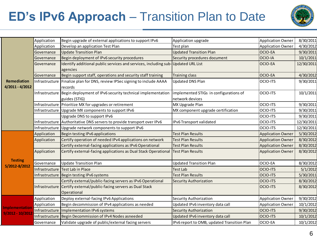# **ED's IPv6 Approach** – Transition Plan to Date



|                                           | Application    | Begin upgrade of external applications to support IPv6                           | Application upgrade                         | <b>Application Owner</b> | 8/30/2011  |
|-------------------------------------------|----------------|----------------------------------------------------------------------------------|---------------------------------------------|--------------------------|------------|
|                                           | Application    | Develop an application Test Plan                                                 | Test plan                                   | <b>Application Owner</b> | 4/30/2012  |
|                                           | Governance     | <b>Update Transition Plan</b>                                                    | <b>Updated Transition Plan</b>              | <b>OCIO-EA</b>           | 9/30/2011  |
|                                           | Governance     | Begin deployment of IPv6 security procedures                                     | Security procedures document                | OCIO-IA                  | 10/1/2011  |
|                                           | Governance     | Identify additional public services and services, including sub-Updated URL List |                                             | <b>OCIO-EA</b>           | 12/30/2011 |
|                                           |                | agencies                                                                         |                                             |                          |            |
|                                           | Governance     | Begin support staff, operations and security staff training                      | <b>Training class</b>                       | <b>OCIO-EA</b>           | 4/30/2012  |
| Remediation                               | Infrastructure | Finalize plan for DNS, review IPSec signing to include AAAA                      | <b>Updated DNS Plan</b>                     | <b>OCIO-ITS</b>          | 9/30/2011  |
| 4/2011 - 4/2012                           |                | records                                                                          |                                             |                          |            |
|                                           |                | Infrastructure Begin deployment of IPv6 security technical implementation        | implemented STIGs in configurations of      | <b>OCIO-ITS</b>          | 10/1/2011  |
|                                           |                | guides (STIG)                                                                    | network devices                             |                          |            |
|                                           |                | Infrastructure Prioritize MX for upgrades or retirement                          | MX Upgrade Plan                             | <b>OCIO-ITS</b>          | 9/30/2011  |
|                                           |                | Infrastructure Upgrade MX components to support IPv6                             | MX component upgrade certification          | <b>OCIO-ITS</b>          | 9/30/2011  |
|                                           |                | Upgrade DNS to support IPv6                                                      |                                             | OCIO-ITS                 | 9/30/2011  |
|                                           |                | Infrastructure Authoritative DNS servers to provide transport over IPv6          | IPv6 Transport validated                    | <b>OCIO-ITS</b>          | 12/30/2011 |
|                                           | Infrastructure | Upgrade network components to support IPv6                                       |                                             | <b>OCIO-ITS</b>          | 12/30/2011 |
|                                           | Application    | Begin testing IPv6 applications                                                  | <b>Test Plan Results</b>                    | <b>Application Owner</b> | 5/30/2012  |
|                                           | Application    | Certify operation of needed IPv4 applications on network                         | <b>Test Plan Results</b>                    | <b>Application Owner</b> | 8/30/2012  |
|                                           |                | Certify external-facing applications as IPv6 Operational                         | <b>Test Plan Results</b>                    | <b>Application Owner</b> | 8/30/2012  |
|                                           | Application    | Certify external-facing applications as Dual Stack Operational                   | <b>Test Plan Results</b>                    | <b>Application Owner</b> | 8/30/2012  |
| <b>Testing</b>                            |                |                                                                                  |                                             |                          |            |
| 5/2012-8/2012                             | Governance     | <b>Update Transition Plan</b>                                                    | <b>Updated Transition Plan</b>              | OCIO-EA                  | 8/30/2012  |
|                                           |                | Infrastructure Test Lab in Place                                                 | <b>Test Lab</b>                             | <b>OCIO-ITS</b>          | 5/1/2012   |
|                                           |                | Infrastructure Begin testing IPv6 systems                                        | <b>Test Plan Results</b>                    | <b>OCIO-ITS</b>          | 5/30/2011  |
|                                           |                | Certify external/public-facing servers as IPv6 Operational                       | Security Authorization                      | <b>OCIO-ITS</b>          | 8/30/2012  |
|                                           |                | Infrastructure Certify external/public-facing servers as Dual Stack              |                                             | <b>OCIO-ITS</b>          | 8/30/2012  |
|                                           |                | Operational                                                                      |                                             |                          |            |
|                                           | Application    | Deploy external-facing IPv6 Applications                                         | <b>Security Authorization</b>               | <b>Application Owner</b> | 9/30/2012  |
|                                           | Application    | Begin decommission of IPv4 applications as needed                                | Updated IPv6 inventory data call            | <b>Application Owner</b> | 10/1/2012  |
| <b>Implementation</b><br>9/2012 - 10/2012 | Infrastructure | Implementation IPv6 systems                                                      | <b>Security Authorization</b>               | <b>OCIO-ITS</b>          | 9/30/2012  |
|                                           |                | Infrastructure Begin Decommission of IPv4 Nodes asneeded                         | Updated IPv6 inventory data call            | <b>OCIO-ITS</b>          | 10/1/2012  |
|                                           | Governance     | Validate upgrade of public/external facing servers                               | IPv6 report to OMB, updated Transition Plan | OCIO-EA                  | 10/1/2012  |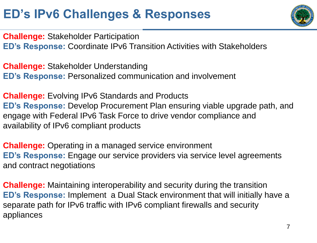# **ED's IPv6 Challenges & Responses**



**Challenge:** Stakeholder Participation **ED's Response:** Coordinate IPv6 Transition Activities with Stakeholders

**Challenge:** Stakeholder Understanding **ED's Response:** Personalized communication and involvement

**Challenge:** Evolving IPv6 Standards and Products **ED's Response:** Develop Procurement Plan ensuring viable upgrade path, and engage with Federal IPv6 Task Force to drive vendor compliance and availability of IPv6 compliant products

**Challenge:** Operating in a managed service environment **ED's Response:** Engage our service providers via service level agreements and contract negotiations

**Challenge:** Maintaining interoperability and security during the transition **ED's Response:** Implement a Dual Stack environment that will initially have a separate path for IPv6 traffic with IPv6 compliant firewalls and security appliances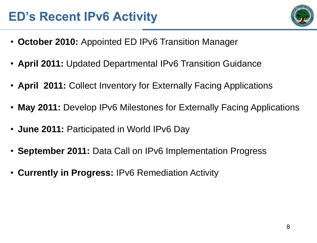## **ED's Recent IPv6 Activity**

- **October 2010:** Appointed ED IPv6 Transition Manager
- **April 2011:** Updated Departmental IPv6 Transition Guidance
- **April 2011:** Collect Inventory for Externally Facing Applications
- **May 2011:** Develop IPv6 Milestones for Externally Facing Applications
- **June 2011:** Participated in World IPv6 Day
- **September 2011:** Data Call on IPv6 Implementation Progress
- **Currently in Progress:** IPv6 Remediation Activity